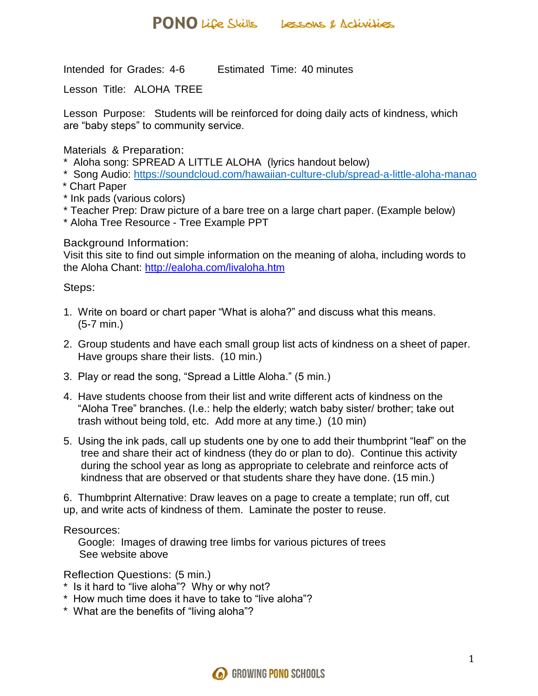Intended for Grades: 4-6 Estimated Time: 40 minutes

Lesson Title: ALOHA TREE

Lesson Purpose: Students will be reinforced for doing daily acts of kindness, which are "baby steps" to community service.

Materials & Preparation:

\* Aloha song: SPREAD A LITTLE ALOHA (lyrics handout below)

\* Song Audio: <https://soundcloud.com/hawaiian-culture-club/spread-a-little-aloha-manao>

- \* Chart Paper
- \* Ink pads (various colors)
- \* Teacher Prep: Draw picture of a bare tree on a large chart paper. (Example below)
- \* Aloha Tree Resource Tree Example PPT

Background Information:

Visit this site to find out simple information on the meaning of aloha, including words to the Aloha Chant:<http://ealoha.com/livaloha.htm>

Steps:

- 1. Write on board or chart paper "What is aloha?" and discuss what this means. (5-7 min.)
- 2. Group students and have each small group list acts of kindness on a sheet of paper. Have groups share their lists. (10 min.)
- Play or read the song, "Spread a Little Aloha." (5 min.) 3.
- 4. Have students choose from their list and write different acts of kindness on the "Aloha Tree" branches. (I.e.: help the elderly; watch baby sister/ brother; take out trash without being told, etc. Add more at any time.) (10 min)
- 5. Using the ink pads, call up students one by one to add their thumbprint "leaf" on the tree and share their act of kindness (they do or plan to do). Continue this activity during the school year as long as appropriate to celebrate and reinforce acts of kindness that are observed or that students share they have done. (15 min.)

Thumbprint Alternative: Draw leaves on a page to create a template; run off, cut 6. up, and write acts of kindness of them. Laminate the poster to reuse.

## Resources:

Google: Images of drawing tree limbs for various pictures of trees See website above

Reflection Questions: (5 min.)

- \* Is it hard to "live aloha"? Why or why not?
- \* How much time does it have to take to "live aloha"?
- \* What are the benefits of "living aloha"?

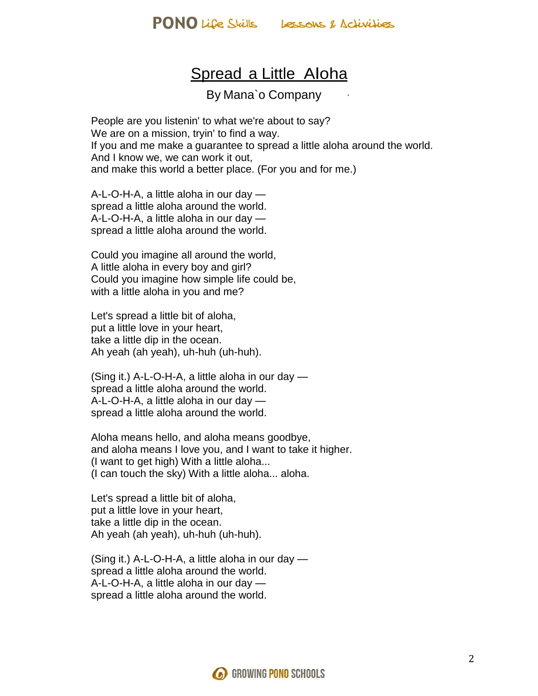## Spread a Little Aloha

## By Mana`o Company ·

People are you listenin' to what we're about to say? We are on a mission, tryin' to find a way. If you and me make a guarantee to spread a little aloha around the world. And I know we, we can work it out, and make this world a better place. (For you and for me.)

A-L-O-H-A, a little aloha in our day spread a little aloha around the world. A-L-O-H-A, a little aloha in our day spread a little aloha around the world.

Could you imagine all around the world, A little aloha in every boy and girl? Could you imagine how simple life could be, with a little aloha in you and me?

Let's spread a little bit of aloha, put a little love in your heart, take a little dip in the ocean. Ah yeah (ah yeah), uh-huh (uh-huh).

(Sing it.) A-L-O-H-A, a little aloha in our day spread a little aloha around the world. A-L-O-H-A, a little aloha in our day spread a little aloha around the world.

Aloha means hello, and aloha means goodbye, and aloha means I love you, and I want to take it higher. (I want to get high) With a little aloha... (I can touch the sky) With a little aloha... aloha.

Let's spread a little bit of aloha, put a little love in your heart, take a little dip in the ocean. Ah yeah (ah yeah), uh-huh (uh-huh).

(Sing it.) A-L-O-H-A, a little aloha in our day spread a little aloha around the world. A-L-O-H-A, a little aloha in our day spread a little aloha around the world.